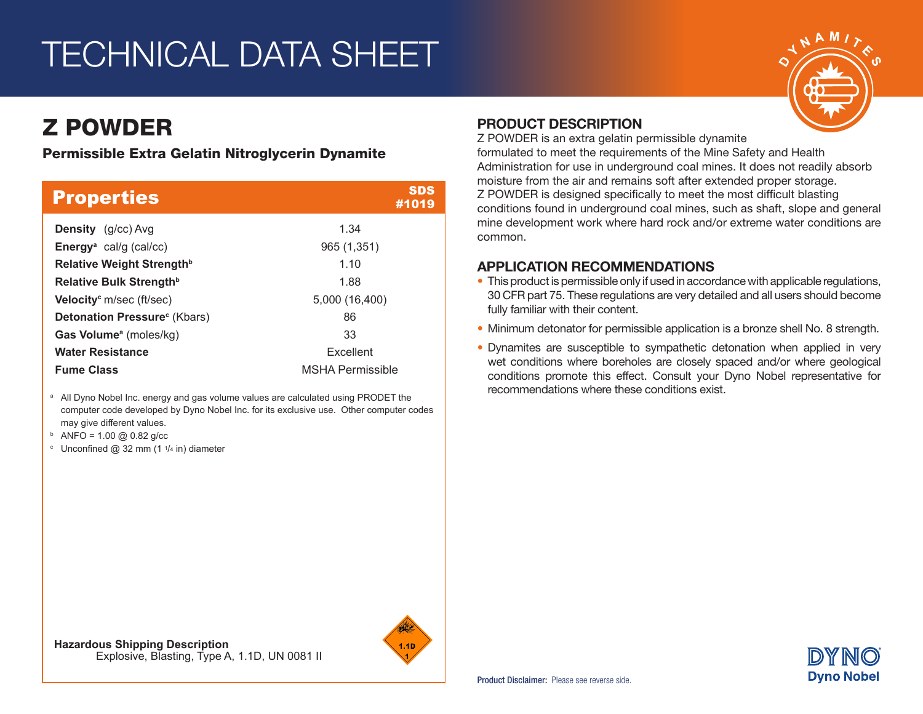## TECHNICAL DATA SHEET

## Z POWDER

Permissible Extra Gelatin Nitroglycerin Dynamite

| <b>Properties</b>                           | <b>SDS</b><br>#1019     |  |
|---------------------------------------------|-------------------------|--|
| <b>Density</b> (g/cc) Avg                   | 1.34                    |  |
| <b>Energy</b> <sup>a</sup> cal/g (cal/cc)   | 965 (1,351)             |  |
| Relative Weight Strength <sup>b</sup>       | 1.10                    |  |
| Relative Bulk Strength <sup>b</sup>         | 1.88                    |  |
| <b>Velocity</b> <sup>c</sup> m/sec (ft/sec) | 5,000 (16,400)          |  |
| Detonation Pressure <sup>c</sup> (Kbars)    | 86                      |  |
| <b>Gas Volume</b> <sup>a</sup> (moles/kg)   | 33                      |  |
| <b>Water Resistance</b>                     | Excellent               |  |
| <b>Fume Class</b>                           | <b>MSHA Permissible</b> |  |

<sup>a</sup> All Dyno Nobel Inc. energy and gas volume values are calculated using PRODET the computer code developed by Dyno Nobel Inc. for its exclusive use. Other computer codes may give different values.

- $b$  ANFO = 1.00 @ 0.82 g/cc
- <sup>c</sup> Unconfined @ 32 mm (1  $1/4$  in) diameter

#### PRODUCT DESCRIPTION

Z POWDER is an extra gelatin permissible dynamite

formulated to meet the requirements of the Mine Safety and Health Administration for use in underground coal mines. It does not readily absorb moisture from the air and remains soft after extended proper storage. Z POWDER is designed specifically to meet the most difficult blasting conditions found in underground coal mines, such as shaft, slope and general mine development work where hard rock and/or extreme water conditions are common.

#### APPLICATION RECOMMENDATIONS

- This product is permissible only if used in accordance with applicable regulations, 30 CFR part 75. These regulations are very detailed and all users should become fully familiar with their content.
- Minimum detonator for permissible application is a bronze shell No. 8 strength.
- Dynamites are susceptible to sympathetic detonation when applied in very wet conditions where boreholes are closely spaced and/or where geological conditions promote this effect. Consult your Dyno Nobel representative for recommendations where these conditions exist.